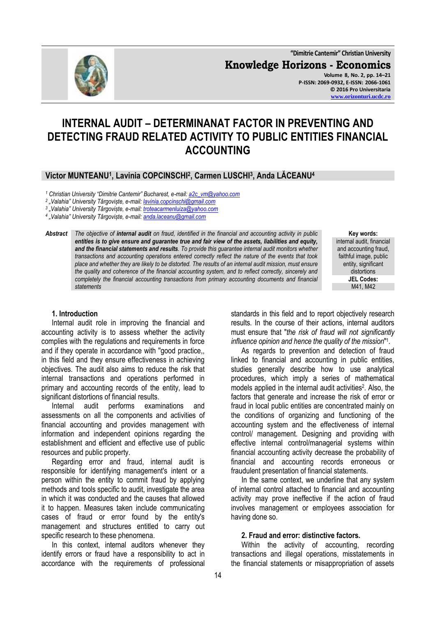**"Dimitrie Cantemir" Christian University Knowledge Horizons - Economics Volume 8, No. 2, pp. 14–21 P-ISSN: 2069-0932, E-ISSN: 2066-1061 © 2016 Pro Universitaria [www.orizonturi.ucdc.ro](http://www.orizonturi.ucdc.ro/)**

# **INTERNAL AUDIT – DETERMINANAT FACTOR IN PREVENTING AND DETECTING FRAUD RELATED ACTIVITY TO PUBLIC ENTITIES FINANCIAL ACCOUNTING**

## **Victor MUNTEANU<sup>1</sup> , Lavinia COPCINSCHI<sup>2</sup> , Carmen LUSCHI<sup>3</sup> , Anda LĂCEANU<sup>4</sup>**

*<sup>1</sup> Christian University "Dimitrie Cantemir" Bucharest, e-mail: [a2c\\_vm@yahoo.com](mailto:a2c_vm@yahoo.com)*

*2 "Valahia" University Târgoviște, e-mail[: lavinia.copcinschi@gmail.com](mailto:lavinia.copcinschi@gmail.com)*

*3 "Valahia" University Târgoviște, e-mail[: troteacarmenluiza@yahoo.com](mailto:troteacarmenluiza@yahoo.com)*

*4 "Valahia" University Târgoviște, e-mail[: anda.laceanu@gmail.com](mailto:anda.laceanu@gmail.com)*

#### *Abstract The objective of internal audit on fraud, identified in the financial and accounting activity in public entities is to give ensure and guarantee true and fair view of the assets, liabilities and equity, and the financial statements and results. To provide this guarantee internal audit monitors whether transactions and accounting operations entered correctly reflect the nature of the events that took place and whether they are likely to be distorted. The results of an internal audit mission, must ensure the quality and coherence of the financial accounting system, and to reflect correctly, sincerely and completely the financial accounting transactions from primary accounting documents and financial statements*

**Key words:** internal audit, financial and accounting fraud, faithful image, public entity, significant distortions **JEL Codes:** M41, M42

#### **1. Introduction**

Internal audit role in improving the financial and accounting activity is to assess whether the activity complies with the regulations and requirements in force and if they operate in accordance with ''good practice,, in this field and they ensure effectiveness in achieving objectives. The audit also aims to reduce the risk that internal transactions and operations performed in primary and accounting records of the entity, lead to significant distortions of financial results.

Internal audit performs examinations and assessments on all the components and activities of financial accounting and provides management with information and independent opinions regarding the establishment and efficient and effective use of public resources and public property.

Regarding error and fraud, internal audit is responsible for identifying management's intent or a person within the entity to commit fraud by applying methods and tools specific to audit, investigate the area in which it was conducted and the causes that allowed it to happen. Measures taken include communicating cases of fraud or error found by the entity's management and structures entitled to carry out specific research to these phenomena.

In this context, internal auditors whenever they identify errors or fraud have a responsibility to act in accordance with the requirements of professional standards in this field and to report objectively research results. In the course of their actions, internal auditors must ensure that "*the risk of fraud will not significantly influence opinion and hence the quality of the mission*" 1 .

As regards to prevention and detection of fraud linked to financial and accounting in public entities, studies generally describe how to use analytical procedures, which imply a series of mathematical models applied in the internal audit activities<sup>2</sup>. Also, the factors that generate and increase the risk of error or fraud in local public entities are concentrated mainly on the conditions of organizing and functioning of the accounting system and the effectiveness of internal control/ management. Designing and providing with effective internal control/managerial systems within financial accounting activity decrease the probability of financial and accounting records erroneous or fraudulent presentation of financial statements.

In the same context, we underline that any system of internal control attached to financial and accounting activity may prove ineffective if the action of fraud involves management or employees association for having done so.

#### **2. Fraud and error: distinctive factors.**

Within the activity of accounting, recording transactions and illegal operations, misstatements in the financial statements or misappropriation of assets

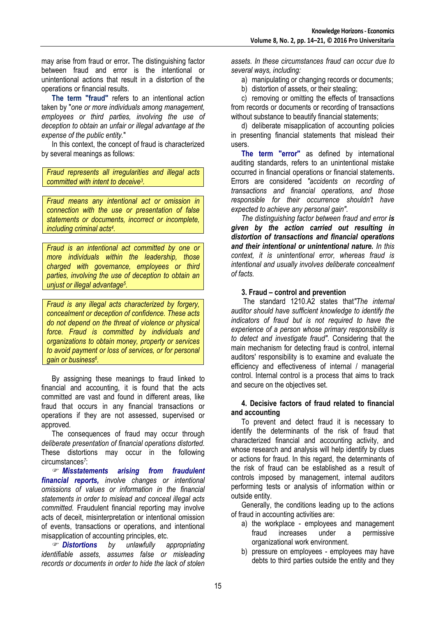may arise from fraud or error**.** The distinguishing factor between fraud and error is the intentional or unintentional actions that result in a distortion of the operations or financial results.

**The term "fraud"** refers to an intentional action taken by "*one or more individuals among management, employees or third parties, involving the use of deception to obtain an unfair or illegal advantage at the expense of the public entity.*"

In this context, the concept of fraud is characterized by several meanings as follows:

*Fraud represents all irregularities and illegal acts committed with intent to deceive<sup>3</sup> .*

*Fraud means any intentional act or omission in connection with the use or presentation of false statements or documents, incorrect or incomplete, including criminal acts<sup>4</sup> .*

*Fraud is an intentional act committed by one or more individuals within the leadership, those charged with governance, employees or third parties, involving the use of deception to obtain an unjust or illegal advantage<sup>5</sup> .* 

*Fraud is any illegal acts characterized by forgery, concealment or deception of confidence. These acts do not depend on the threat of violence or physical force. Fraud is committed by individuals and organizations to obtain money, property or services to avoid payment or loss of services, or for personal gain or business<sup>6</sup> .* 

By assigning these meanings to fraud linked to financial and accounting, it is found that the acts committed are vast and found in different areas, like fraud that occurs in any financial transactions or operations if they are not assessed, supervised or approved.

The consequences of fraud may occur through *deliberate presentation of financial operations distorted.* These distortions may occur in the following circumstances*<sup>7</sup>* :

 *Misstatements arising from fraudulent financial reports, involve changes or intentional omissions of values or information in the financial statements in order to mislead and conceal illegal acts committed.* Fraudulent financial reporting may involve acts of deceit, misinterpretation or intentional omission of events, transactions or operations, and intentional misapplication of accounting principles, etc.

 *Distortions by unlawfully appropriating identifiable assets, assumes false or misleading records or documents in order to hide the lack of stolen*  *assets. In these circumstances fraud can occur due to several ways, including:*

a) manipulating or changing records or documents;

b) distortion of assets, or their stealing;

c) removing or omitting the effects of transactions from records or documents or recording of transactions without substance to beautify financial statements;

d) deliberate misapplication of accounting policies in presenting financial statements that mislead their users.

**The term "error"** as defined by international auditing standards, refers to an unintentional mistake occurred in financial operations or financial statements**.**  Errors are considered *"accidents on recording of transactions and financial operations, and those responsible for their occurrence shouldn't have expected to achieve any personal gain".*

*The distinguishing factor between fraud and error is given by the action carried out resulting in distortion of transactions and financial operations and their intentional or unintentional nature. In this context, it is unintentional error, whereas fraud is intentional and usually involves deliberate concealment of facts.*

#### **3. Fraud – control and prevention**

The standard 1210.A2 states that*"The internal auditor should have sufficient knowledge to identify the indicators of fraud but is not required to have the experience of a person whose primary responsibility is to detect and investigate fraud"*. Considering that the main mechanism for detecting fraud is control, internal auditors' responsibility is to examine and evaluate the efficiency and effectiveness of internal / managerial control. Internal control is a process that aims to track and secure on the objectives set.

#### **4. Decisive factors of fraud related to financial and accounting**

To prevent and detect fraud it is necessary to identify the determinants of the risk of fraud that characterized financial and accounting activity, and whose research and analysis will help identify by clues or actions for fraud. In this regard, the determinants of the risk of fraud can be established as a result of controls imposed by management, internal auditors performing tests or analysis of information within or outside entity.

Generally, the conditions leading up to the actions of fraud in accounting activities are:

- a) the workplace employees and management fraud increases under a permissive organizational work environment.
- b) pressure on employees employees may have debts to third parties outside the entity and they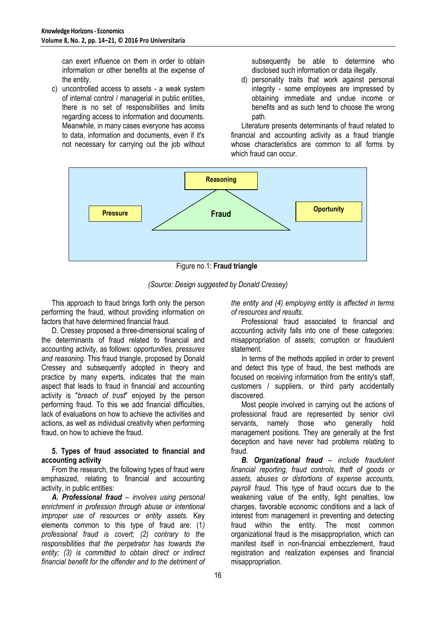can exert influence on them in order to obtain information or other benefits at the expense of the entity.

c) uncontrolled access to assets - a weak system of internal control / managerial in public entities, there is no set of responsibilities and limits regarding access to information and documents. Meanwhile, in many cases everyone has access to data, information and documents, even if it's not necessary for carrying out the job without subsequently be able to determine who disclosed such information or data illegally.

d) personality traits that work against personal integrity - some employees are impressed by obtaining immediate and undue income or benefits and as such tend to choose the wrong path.

Literature presents determinants of fraud related to financial and accounting activity as a fraud triangle whose characteristics are common to all forms by which fraud can occur.



Figure no.1: **Fraud triangle**

*(Source: Design suggested by Donald Cressey)*

This approach to fraud brings forth only the person performing the fraud, without providing information on factors that have determined financial fraud.

D. Cressey proposed a three-dimensional scaling of the determinants of fraud related to financial and accounting activity, as follows: *opportunities, pressures and reasoning*. This fraud triangle, proposed by Donald Cressey and subsequently adopted in theory and practice by many experts, indicates that the main aspect that leads to fraud in financial and accounting activity is "*breach of trust*" enjoyed by the person performing fraud. To this we add financial difficulties, lack of evaluations on how to achieve the activities and actions, as well as individual creativity when performing fraud, on how to achieve the fraud.

#### **5. Types of fraud associated to financial and accounting activity**

From the research, the following types of fraud were emphasized, relating to financial and accounting activity, in public entities:

*A. Professional fraud* – *involves using personal enrichment in profession through abuse or intentional improper use of resources or entity assets.* Key elements common to this type of fraud are: (1*) professional fraud is covert; (2) contrary to the responsibilities that the perpetrator has towards the entity; (3) is committed to obtain direct or indirect financial benefit for the offender and to the detriment of*  *the entity and (4) employing entity is affected in terms of resources and results.*

Professional fraud associated to financial and accounting activity falls into one of these categories: misappropriation of assets; corruption or fraudulent statement.

In terms of the methods applied in order to prevent and detect this type of fraud, the best methods are focused on receiving information from the entity's staff, customers / suppliers, or third party accidentally discovered.

Most people involved in carrying out the actions of professional fraud are represented by senior civil servants, namely those who generally hold management positions. They are generally at the first deception and have never had problems relating to fraud.

*B. Organizational fraud* – *include fraudulent financial reporting, fraud controls, theft of goods or assets, abuses or distortions of expense accounts, payroll fraud.* This type of fraud occurs due to the weakening value of the entity, light penalties, low charges, favorable economic conditions and a lack of interest from management in preventing and detecting fraud within the entity. The most common organizational fraud is the misappropriation, which can manifest itself in non-financial embezzlement, fraud registration and realization expenses and financial misappropriation.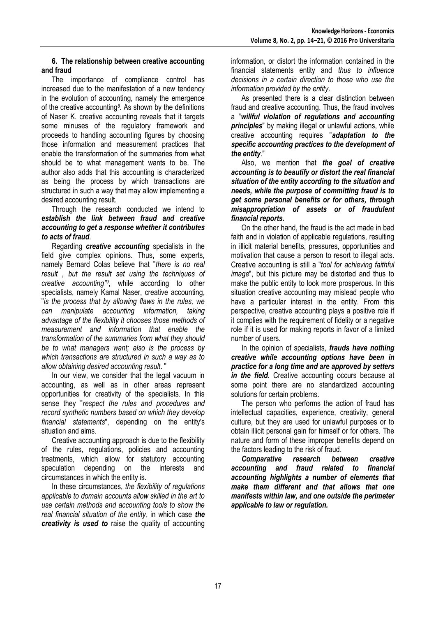#### **6. The relationship between creative accounting and fraud**

The importance of compliance control has increased due to the manifestation of a new tendency in the evolution of accounting, namely the emergence of the creative accounting*<sup>8</sup>* . As shown by the definitions of Naser K. creative accounting reveals that it targets some minuses of the regulatory framework and proceeds to handling accounting figures by choosing those information and measurement practices that enable the transformation of the summaries from what should be to what management wants to be. The author also adds that this accounting is characterized as being the process by which transactions are structured in such a way that may allow implementing a desired accounting result.

Through the research conducted we intend to *establish the link between fraud and creative accounting to get a response whether it contributes to acts of fraud*.

Regarding *creative accounting* specialists in the field give complex opinions. Thus, some experts, namely Bernard Colas believe that "*there is no real result , but the result set using the techniques of creative accounting"<sup>9</sup>* , while according to other specialists, namely Kamal Naser, creative accounting, "*is the process that by allowing flaws in the rules, we can manipulate accounting information, taking advantage of the flexibility it chooses those methods of measurement and information that enable the transformation of the summaries from what they should be to what managers want; also is the process by which transactions are structured in such a way as to allow obtaining desired accounting result*. "

In our view, we consider that the legal vacuum in accounting, as well as in other areas represent opportunities for creativity of the specialists. In this sense they "*respect the rules and procedures and record synthetic numbers based on which they develop financial statements*", depending on the entity's situation and aims.

Creative accounting approach is due to the flexibility of the rules, regulations, policies and accounting treatments, which allow for statutory accounting speculation depending on the interests and circumstances in which the entity is.

In these circumstances, *the flexibility of regulations applicable to domain accounts allow skilled in the art to use certain methods and accounting tools to show the real financial situation of the entity*, in which case *the creativity is used to* raise the quality of accounting

information, or distort the information contained in the financial statements entity and *thus to influence decisions in a certain direction to those who use the information provided by the entity*.

As presented there is a clear distinction between fraud and creative accounting. Thus, the fraud involves a "*willful violation of regulations and accounting principles*" by making illegal or unlawful actions, while creative accounting requires "*adaptation to the specific accounting practices to the development of the entity*."

Also, we mention that *the goal of creative accounting is to beautify or distort the real financial situation of the entity according to the situation and needs, while the purpose of committing fraud is to get some personal benefits or for others, through misappropriation of assets or of fraudulent financial reports.*

On the other hand, the fraud is the act made in bad faith and in violation of applicable regulations, resulting in illicit material benefits, pressures, opportunities and motivation that cause a person to resort to illegal acts. Creative accounting is still a "*tool for achieving faithful image*", but this picture may be distorted and thus to make the public entity to look more prosperous. In this situation creative accounting may mislead people who have a particular interest in the entity. From this perspective, creative accounting plays a positive role if it complies with the requirement of fidelity or a negative role if it is used for making reports in favor of a limited number of users.

In the opinion of specialists, *frauds have nothing creative while accounting options have been in practice for a long time and are approved by setters in the field*. Creative accounting occurs because at some point there are no standardized accounting solutions for certain problems.

The person who performs the action of fraud has intellectual capacities, experience, creativity, general culture, but they are used for unlawful purposes or to obtain illicit personal gain for himself or for others. The nature and form of these improper benefits depend on the factors leading to the risk of fraud.

*Comparative research between creative accounting and fraud related to financial accounting highlights a number of elements that make them different and that allows that one manifests within law, and one outside the perimeter applicable to law or regulation.*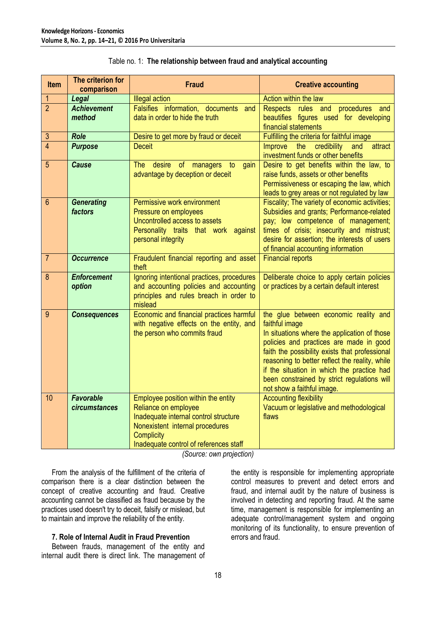| <b>Item</b>     | The criterion for<br>comparison   | <b>Fraud</b>                                                                                                                                                                                           | <b>Creative accounting</b>                                                                                                                                                                                                                                                                                                                                                        |
|-----------------|-----------------------------------|--------------------------------------------------------------------------------------------------------------------------------------------------------------------------------------------------------|-----------------------------------------------------------------------------------------------------------------------------------------------------------------------------------------------------------------------------------------------------------------------------------------------------------------------------------------------------------------------------------|
|                 | Legal                             | <b>Illegal action</b>                                                                                                                                                                                  | Action within the law                                                                                                                                                                                                                                                                                                                                                             |
| $\overline{2}$  | <b>Achievement</b><br>method      | Falsifies information, documents<br>and<br>data in order to hide the truth                                                                                                                             | Respects rules and<br>procedures<br>and<br>beautifies figures used for developing<br>financial statements                                                                                                                                                                                                                                                                         |
| $\mathfrak{S}$  | <b>Role</b>                       | Desire to get more by fraud or deceit                                                                                                                                                                  | Fulfilling the criteria for faithful image                                                                                                                                                                                                                                                                                                                                        |
| $\overline{4}$  | <b>Purpose</b>                    | <b>Deceit</b>                                                                                                                                                                                          | <b>Improve</b><br>the<br>credibility<br>and<br>attract<br>investment funds or other benefits                                                                                                                                                                                                                                                                                      |
| 5               | <b>Cause</b>                      | desire<br><b>The</b><br>of<br>managers<br>gain<br>to<br>advantage by deception or deceit                                                                                                               | Desire to get benefits within the law, to<br>raise funds, assets or other benefits<br>Permissiveness or escaping the law, which<br>leads to grey areas or not regulated by law                                                                                                                                                                                                    |
| $6\phantom{1}6$ | <b>Generating</b><br>factors      | Permissive work environment<br>Pressure on employees<br>Uncontrolled access to assets<br>Personality traits that work against<br>personal integrity                                                    | Fiscality; The variety of economic activities;<br>Subsidies and grants; Performance-related<br>pay; low competence of management;<br>times of crisis; insecurity and mistrust;<br>desire for assertion; the interests of users<br>of financial accounting information                                                                                                             |
| $\overline{7}$  | <b>Occurrence</b>                 | Fraudulent financial reporting and asset<br>theft                                                                                                                                                      | <b>Financial reports</b>                                                                                                                                                                                                                                                                                                                                                          |
| 8               | <b>Enforcement</b><br>option      | Ignoring intentional practices, procedures<br>and accounting policies and accounting<br>principles and rules breach in order to<br>mislead                                                             | Deliberate choice to apply certain policies<br>or practices by a certain default interest                                                                                                                                                                                                                                                                                         |
| 9               | <b>Consequences</b>               | Economic and financial practices harmful<br>with negative effects on the entity, and<br>the person who commits fraud                                                                                   | the glue between economic reality and<br>faithful image<br>In situations where the application of those<br>policies and practices are made in good<br>faith the possibility exists that professional<br>reasoning to better reflect the reality, while<br>if the situation in which the practice had<br>been constrained by strict regulations will<br>not show a faithful image. |
| 10              | <b>Favorable</b><br>circumstances | Employee position within the entity<br>Reliance on employee<br>Inadequate internal control structure<br>Nonexistent internal procedures<br><b>Complicity</b><br>Inadequate control of references staff | <b>Accounting flexibility</b><br>Vacuum or legislative and methodological<br>flaws                                                                                                                                                                                                                                                                                                |

### Table no. 1: **The relationship between fraud and analytical accounting**

*(Source: own projection)*

From the analysis of the fulfillment of the criteria of comparison there is a clear distinction between the concept of creative accounting and fraud. Creative accounting cannot be classified as fraud because by the practices used doesn't try to deceit, falsify or mislead, but to maintain and improve the reliability of the entity.

#### **7. Role of Internal Audit in Fraud Prevention**

Between frauds, management of the entity and internal audit there is direct link. The management of the entity is responsible for implementing appropriate control measures to prevent and detect errors and fraud, and internal audit by the nature of business is involved in detecting and reporting fraud. At the same time, management is responsible for implementing an adequate control/management system and ongoing monitoring of its functionality, to ensure prevention of errors and fraud.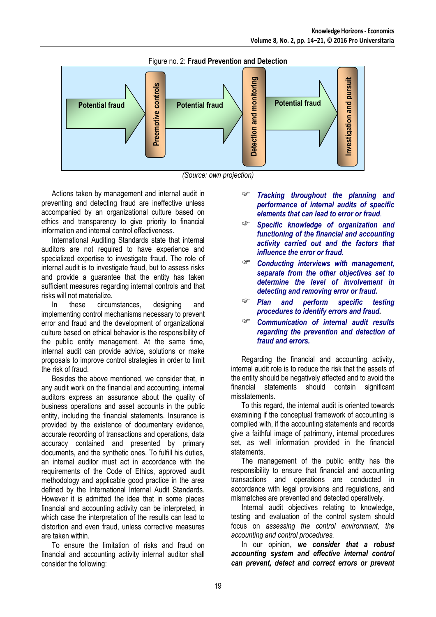

Figure no. 2: **Fraud Prevention and Detection**



Actions taken by management and internal audit in preventing and detecting fraud are ineffective unless accompanied by an organizational culture based on ethics and transparency to give priority to financial information and internal control effectiveness.

International Auditing Standards state that internal auditors are not required to have experience and specialized expertise to investigate fraud. The role of internal audit is to investigate fraud, but to assess risks and provide a guarantee that the entity has taken sufficient measures regarding internal controls and that risks will not materialize.

In these circumstances, designing and implementing control mechanisms necessary to prevent error and fraud and the development of organizational culture based on ethical behavior is the responsibility of the public entity management. At the same time, internal audit can provide advice, solutions or make proposals to improve control strategies in order to limit the risk of fraud.

Besides the above mentioned, we consider that, in any audit work on the financial and accounting, internal auditors express an assurance about the quality of business operations and asset accounts in the public entity, including the financial statements. Insurance is provided by the existence of documentary evidence, accurate recording of transactions and operations, data accuracy contained and presented by primary documents, and the synthetic ones. To fulfill his duties, an internal auditor must act in accordance with the requirements of the Code of Ethics, approved audit methodology and applicable good practice in the area defined by the International Internal Audit Standards. However it is admitted the idea that in some places financial and accounting activity can be interpreted, in which case the interpretation of the results can lead to distortion and even fraud, unless corrective measures are taken within.

To ensure the limitation of risks and fraud on financial and accounting activity internal auditor shall consider the following:

- *Tracking throughout the planning and performance of internal audits of specific elements that can lead to error or fraud*.
- *Specific knowledge of organization and functioning of the financial and accounting activity carried out and the factors that influence the error or fraud.*
- *Conducting interviews with management, separate from the other objectives set to determine the level of involvement in detecting and removing error or fraud.*
- *Plan and perform specific testing procedures to identify errors and fraud.*
- *Communication of internal audit results regarding the prevention and detection of fraud and errors.*

Regarding the financial and accounting activity, internal audit role is to reduce the risk that the assets of the entity should be negatively affected and to avoid the financial statements should contain significant misstatements.

To this regard, the internal audit is oriented towards examining if the conceptual framework of accounting is complied with, if the accounting statements and records give a faithful image of patrimony, internal procedures set, as well information provided in the financial statements.

The management of the public entity has the responsibility to ensure that financial and accounting transactions and operations are conducted in accordance with legal provisions and regulations, and mismatches are prevented and detected operatively.

Internal audit objectives relating to knowledge, testing and evaluation of the control system should focus on *assessing the control environment, the accounting and control procedures.*

In our opinion, *we consider that a robust accounting system and effective internal control can prevent, detect and correct errors or prevent*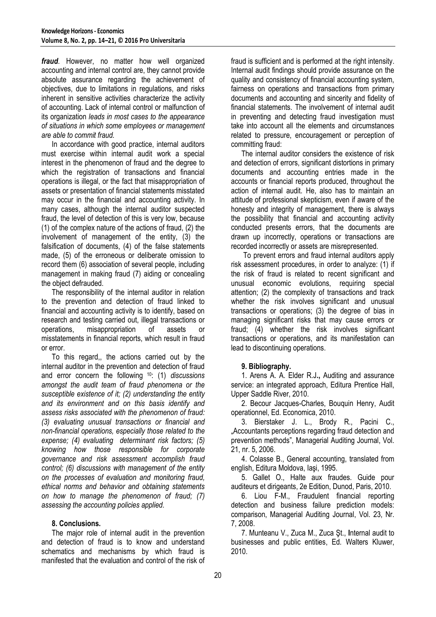*fraud*. However, no matter how well organized accounting and internal control are, they cannot provide absolute assurance regarding the achievement of objectives, due to limitations in regulations, and risks inherent in sensitive activities characterize the activity of accounting. Lack of internal control or malfunction of its organization *leads in most cases to the appearance of situations in which some employees or management are able to commit fraud.*

In accordance with good practice, internal auditors must exercise within internal audit work a special interest in the phenomenon of fraud and the degree to which the registration of transactions and financial operations is illegal, or the fact that misappropriation of assets or presentation of financial statements misstated may occur in the financial and accounting activity. In many cases, although the internal auditor suspected fraud, the level of detection of this is very low, because (1) of the complex nature of the actions of fraud, (2) the involvement of management of the entity, (3) the falsification of documents, (4) of the false statements made, (5) of the erroneous or deliberate omission to record them (6) association of several people, including management in making fraud (7) aiding or concealing the object defrauded.

The responsibility of the internal auditor in relation to the prevention and detection of fraud linked to financial and accounting activity is to identify, based on research and testing carried out, illegal transactions or operations, misappropriation of assets or misstatements in financial reports, which result in fraud or error.

To this regard,, the actions carried out by the internal auditor in the prevention and detection of fraud and error concern the following <sup>10</sup>: (1) *discussions amongst the audit team of fraud phenomena or the susceptible existence of it; (2) understanding the entity and its environment and on this basis identify and assess risks associated with the phenomenon of fraud: (3) evaluating unusual transactions or financial and non-financial operations, especially those related to the expense; (4) evaluating determinant risk factors; (5) knowing how those responsible for corporate governance and risk assessment accomplish fraud control; (6) discussions with management of the entity on the processes of evaluation and monitoring fraud, ethical norms and behavior and obtaining statements on how to manage the phenomenon of fraud; (7) assessing the accounting policies applied.*

#### **8. Conclusions.**

The major role of internal audit in the prevention and detection of fraud is to know and understand schematics and mechanisms by which fraud is manifested that the evaluation and control of the risk of fraud is sufficient and is performed at the right intensity. Internal audit findings should provide assurance on the quality and consistency of financial accounting system, fairness on operations and transactions from primary documents and accounting and sincerity and fidelity of financial statements. The involvement of internal audit in preventing and detecting fraud investigation must take into account all the elements and circumstances related to pressure, encouragement or perception of committing fraud:

The internal auditor considers the existence of risk and detection of errors, significant distortions in primary documents and accounting entries made in the accounts or financial reports produced, throughout the action of internal audit. He, also has to maintain an attitude of professional skepticism, even if aware of the honesty and integrity of management, there is always the possibility that financial and accounting activity conducted presents errors, that the documents are drawn up incorrectly, operations or transactions are recorded incorrectly or assets are misrepresented.

To prevent errors and fraud internal auditors apply risk assessment procedures, in order to analyze: (1) if the risk of fraud is related to recent significant and unusual economic evolutions, requiring special attention; (2) the complexity of transactions and track whether the risk involves significant and unusual transactions or operations; (3) the degree of bias in managing significant risks that may cause errors or fraud; (4) whether the risk involves significant transactions or operations, and its manifestation can lead to discontinuing operations.

#### **9. Bibliography.**

1. Arens A. A. Elder R.J**.,** Auditing and assurance service: an integrated approach, Editura Prentice Hall, Upper Saddle River, 2010.

2. Becour Jacques-Charles, Bouquin Henry, Audit operationnel, Ed. Economica, 2010.

3. Bierstaker J. L., Brody R., Pacini C., "Accountants perceptions regarding fraud detection and prevention methods", Managerial Auditing Journal, Vol. 21, nr. 5, 2006.

4. Colasse B., General accounting, translated from english, Editura Moldova, Iaşi, 1995.

5. Gallet O., Halte aux fraudes. Guide pour auditeurs et dirigeants, 2e Edition, Dunod, Paris, 2010.

6. Liou F-M., Fraudulent financial reporting detection and business failure prediction models: comparison, Managerial Auditing Journal, Vol. 23, Nr. 7, 2008.

7. Munteanu V., Zuca M., Zuca Şt., **I**nternal audit to businesses and public entities, Ed. Walters Kluwer, 2010.